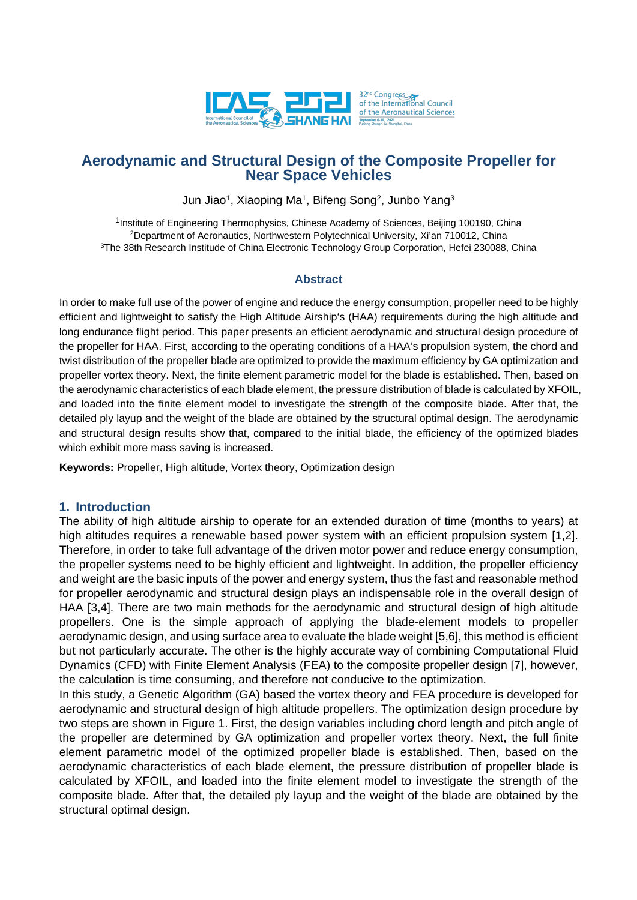

# **Aerodynamic and Structural Design of the Composite Propeller for Near Space Vehicles**

Jun Jiao<sup>1</sup>, Xiaoping Ma<sup>1</sup>, Bifeng Song<sup>2</sup>, Junbo Yang<sup>3</sup>

<sup>1</sup>Institute of Engineering Thermophysics, Chinese Academy of Sciences, Beijing 100190, China 2Department of Aeronautics, Northwestern Polytechnical University, Xi'an 710012, China <sup>3</sup>The 38th Research Institude of China Electronic Technology Group Corporation, Hefei 230088, China

### **Abstract**

In order to make full use of the power of engine and reduce the energy consumption, propeller need to be highly efficient and lightweight to satisfy the High Altitude Airship's (HAA) requirements during the high altitude and long endurance flight period. This paper presents an efficient aerodynamic and structural design procedure of the propeller for HAA. First, according to the operating conditions of a HAA's propulsion system, the chord and twist distribution of the propeller blade are optimized to provide the maximum efficiency by GA optimization and propeller vortex theory. Next, the finite element parametric model for the blade is established. Then, based on the aerodynamic characteristics of each blade element, the pressure distribution of blade is calculated by XFOIL, and loaded into the finite element model to investigate the strength of the composite blade. After that, the detailed ply layup and the weight of the blade are obtained by the structural optimal design. The aerodynamic and structural design results show that, compared to the initial blade, the efficiency of the optimized blades which exhibit more mass saving is increased.

**Keywords:** Propeller, High altitude, Vortex theory, Optimization design

### **1. Introduction**

The ability of high altitude airship to operate for an extended duration of time (months to years) at high altitudes requires a renewable based power system with an efficient propulsion system [1,2]. Therefore, in order to take full advantage of the driven motor power and reduce energy consumption, the propeller systems need to be highly efficient and lightweight. In addition, the propeller efficiency and weight are the basic inputs of the power and energy system, thus the fast and reasonable method for propeller aerodynamic and structural design plays an indispensable role in the overall design of HAA [3,4]. There are two main methods for the aerodynamic and structural design of high altitude propellers. One is the simple approach of applying the blade-element models to propeller aerodynamic design, and using surface area to evaluate the blade weight [5,6], this method is efficient but not particularly accurate. The other is the highly accurate way of combining Computational Fluid Dynamics (CFD) with Finite Element Analysis (FEA) to the composite propeller design [7], however, the calculation is time consuming, and therefore not conducive to the optimization.

In this study, a Genetic Algorithm (GA) based the vortex theory and FEA procedure is developed for aerodynamic and structural design of high altitude propellers. The optimization design procedure by two steps are shown in Figure 1. First, the design variables including chord length and pitch angle of the propeller are determined by GA optimization and propeller vortex theory. Next, the full finite element parametric model of the optimized propeller blade is established. Then, based on the aerodynamic characteristics of each blade element, the pressure distribution of propeller blade is calculated by XFOIL, and loaded into the finite element model to investigate the strength of the composite blade. After that, the detailed ply layup and the weight of the blade are obtained by the structural optimal design.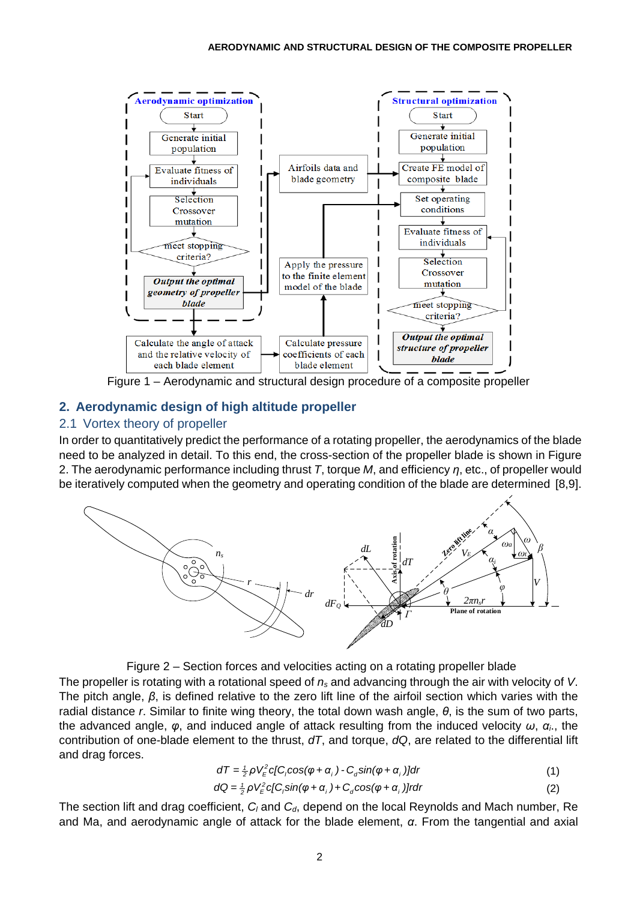

Figure 1 – Aerodynamic and structural design procedure of a composite propeller

# **2. Aerodynamic design of high altitude propeller**

## 2.1 Vortex theory of propeller

In order to quantitatively predict the performance of a rotating propeller, the aerodynamics of the blade need to be analyzed in detail. To this end, the cross-section of the propeller blade is shown in Figure 2. The aerodynamic performance including thrust *T*, torque *M*, and efficiency *η*, etc., of propeller would be iteratively computed when the geometry and operating condition of the blade are determined [8,9].





The propeller is rotating with a rotational speed of *ns* and advancing through the air with velocity of *V*. The pitch angle, *β*, is defined relative to the zero lift line of the airfoil section which varies with the radial distance *r*. Similar to finite wing theory, the total down wash angle, *θ*, is the sum of two parts, the advanced angle, *φ*, and induced angle of attack resulting from the induced velocity *ω*, *αi*., the contribution of one-blade element to the thrust, *dT*, and torque, *dQ*, are related to the differential lift and drag forces.

$$
dT = \frac{1}{2} \rho V_{E}^{2} c [C_{i} \cos(\varphi + \alpha_{i}) - C_{d} \sin(\varphi + \alpha_{i})] dr
$$
 (1)

$$
dQ = \frac{1}{2}\rho V_{E}^{2} c[C_{i}sin(\varphi + \alpha_{i}) + C_{d}cos(\varphi + \alpha_{i})]rdr
$$
\n(2)

The section lift and drag coefficient, C<sub>l</sub> and C<sub>d</sub>, depend on the local Reynolds and Mach number, Re and Ma, and aerodynamic angle of attack for the blade element, *α*. From the tangential and axial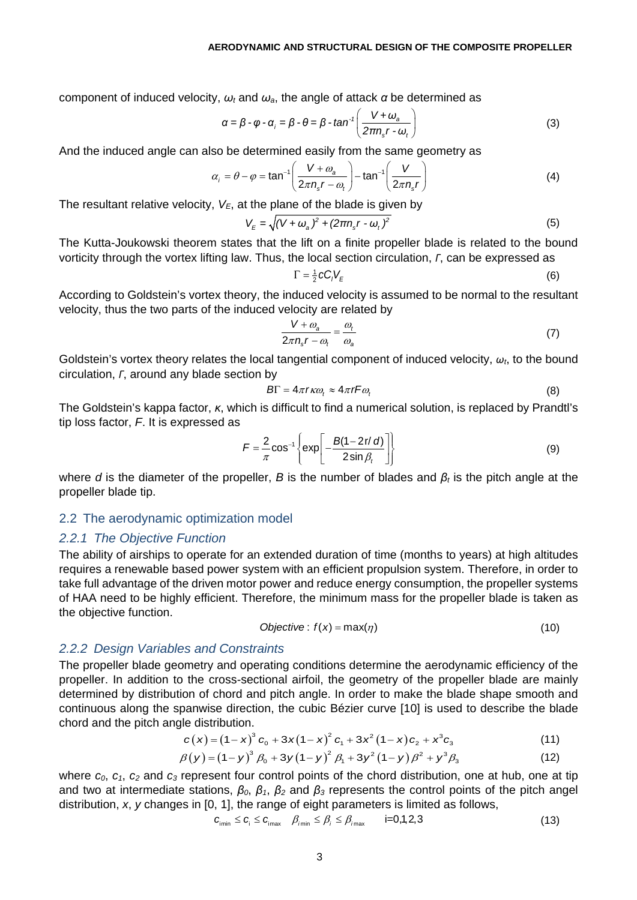component of induced velocity, *ω<sup>t</sup>* and *ωa*, the angle of attack *α* be determined as

$$
\alpha = \beta - \varphi - \alpha_i = \beta - \theta = \beta - \tan^{-1}\left(\frac{V + \omega_a}{2\pi n_s r - \omega_t}\right)
$$
(3)

And the induced angle can also be determined easily from the same geometry as

$$
\alpha_i = \theta - \varphi = \tan^{-1}\left(\frac{V + \omega_a}{2\pi n_s r - \omega_t}\right) - \tan^{-1}\left(\frac{V}{2\pi n_s r}\right)
$$
(4)

The resultant relative velocity,  $V_{E}$ , at the plane of the blade is given by

$$
V_{E} = \sqrt{(V + \omega_{a})^{2} + (2\pi n_{s}r - \omega_{t})^{2}}
$$
(5)

The Kutta-Joukowski theorem states that the lift on a finite propeller blade is related to the bound vorticity through the vortex lifting law. Thus, the local section circulation, *Γ*, can be expressed as

$$
\Gamma = \frac{1}{2} c C_l V_E \tag{6}
$$

According to Goldstein's vortex theory, the induced velocity is assumed to be normal to the resultant velocity, thus the two parts of the induced velocity are related by

$$
\frac{V + \omega_a}{2\pi n_s r - \omega_t} = \frac{\omega_t}{\omega_a} \tag{7}
$$

Goldstein's vortex theory relates the local tangential component of induced velocity, *ωt*, to the bound circulation, *Γ*, around any blade section by

$$
B\Gamma = 4\pi r \kappa \omega_t \approx 4\pi r F \omega_t \tag{8}
$$

The Goldstein's kappa factor, *κ*, which is difficult to find a numerical solution, is replaced by Prandtl's tip loss factor, *F*. It is expressed as

$$
F = \frac{2}{\pi} \cos^{-1} \left\{ \exp \left[ -\frac{B(1-2r/d)}{2\sin\beta_t} \right] \right\}
$$
 (9)

where *d* is the diameter of the propeller, *B* is the number of blades and *β<sup>t</sup>* is the pitch angle at the propeller blade tip.

#### 2.2 The aerodynamic optimization model

#### *2.2.1 The Objective Function*

The ability of airships to operate for an extended duration of time (months to years) at high altitudes requires a renewable based power system with an efficient propulsion system. Therefore, in order to take full advantage of the driven motor power and reduce energy consumption, the propeller systems of HAA need to be highly efficient. Therefore, the minimum mass for the propeller blade is taken as the objective function.

$$
Objective: f(x) = max(\eta)
$$
\n(10)

### *2.2.2 Design Variables and Constraints*

The propeller blade geometry and operating conditions determine the aerodynamic efficiency of the propeller. In addition to the cross-sectional airfoil, the geometry of the propeller blade are mainly determined by distribution of chord and pitch angle. In order to make the blade shape smooth and continuous along the spanwise direction, the cubic Bézier curve [10] is used to describe the blade chord and the pitch angle distribution.

$$
c(x) = (1-x)^3 c_0 + 3x(1-x)^2 c_1 + 3x^2(1-x)c_2 + x^3c_3
$$
 (11)

$$
\beta(y) = (1 - y)^3 \beta_0 + 3y(1 - y)^2 \beta_1 + 3y^2(1 - y)\beta^2 + y^3 \beta_3
$$
 (12)

where  $c_0$ ,  $c_1$ ,  $c_2$  and  $c_3$  represent four control points of the chord distribution, one at hub, one at tip and two at intermediate stations, *β0*, *β1*, *β<sup>2</sup>* and *β<sup>3</sup>* represents the control points of the pitch angel distribution, *x*, *y* changes in [0, 1], the range of eight parameters is limited as follows,

$$
c_{\min} \le c_{i} \le c_{\max} \quad \beta_{imn} \le \beta_{i} \le \beta_{imn} \qquad \text{i=0,1,2,3} \tag{13}
$$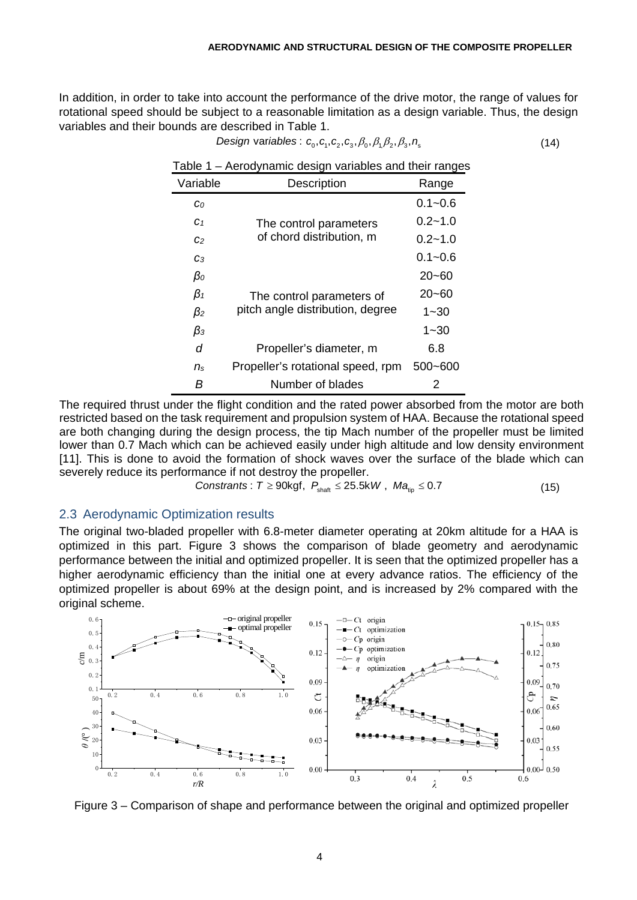$Design variables: c_0, c_1, c_2, c_3, \beta_0, \beta_1, \beta_2, \beta_3, n_s$  (14)

In addition, in order to take into account the performance of the drive motor, the range of values for rotational speed should be subject to a reasonable limitation as a design variable. Thus, the design variables and their bounds are described in Table 1.

| ι αυιν         | Actogrights acoign variables and their ranged |             |
|----------------|-----------------------------------------------|-------------|
| Variable       | Description                                   | Range       |
| $c_0$          |                                               | $0.1 - 0.6$ |
| C <sub>1</sub> | The control parameters                        | $0.2 - 1.0$ |
| C <sub>2</sub> | of chord distribution, m                      | $0.2 - 1.0$ |
| Cз             |                                               | $0.1 - 0.6$ |
| $\beta_o$      |                                               | $20 - 60$   |
| $\beta_1$      | The control parameters of                     | $20 - 60$   |
| $\beta_2$      | pitch angle distribution, degree              | $1 - 30$    |
| $\beta_3$      |                                               | $1 - 30$    |
| d              | Propeller's diameter, m                       | 6.8         |
| $n_{\rm s}$    | Propeller's rotational speed, rpm             | $500 - 600$ |
| В              | Number of blades                              | 2           |

Table 1 – Aerodynamic design variables and their ranges

The required thrust under the flight condition and the rated power absorbed from the motor are both restricted based on the task requirement and propulsion system of HAA. Because the rotational speed are both changing during the design process, the tip Mach number of the propeller must be limited lower than 0.7 Mach which can be achieved easily under high altitude and low density environment [11]. This is done to avoid the formation of shock waves over the surface of the blade which can severely reduce its performance if not destroy the propeller.

$$
Constraints: T \geq 90 \text{kgf}, P_{\text{shath}} \leq 25.5 \text{kW}, Ma_{\text{tip}} \leq 0.7 \tag{15}
$$

### 2.3 Aerodynamic Optimization results

The original two-bladed propeller with 6.8-meter diameter operating at 20km altitude for a HAA is optimized in this part. Figure 3 shows the comparison of blade geometry and aerodynamic performance between the initial and optimized propeller. It is seen that the optimized propeller has a higher aerodynamic efficiency than the initial one at every advance ratios. The efficiency of the optimized propeller is about 69% at the design point, and is increased by 2% compared with the original scheme.



Figure 3 – Comparison of shape and performance between the original and optimized propeller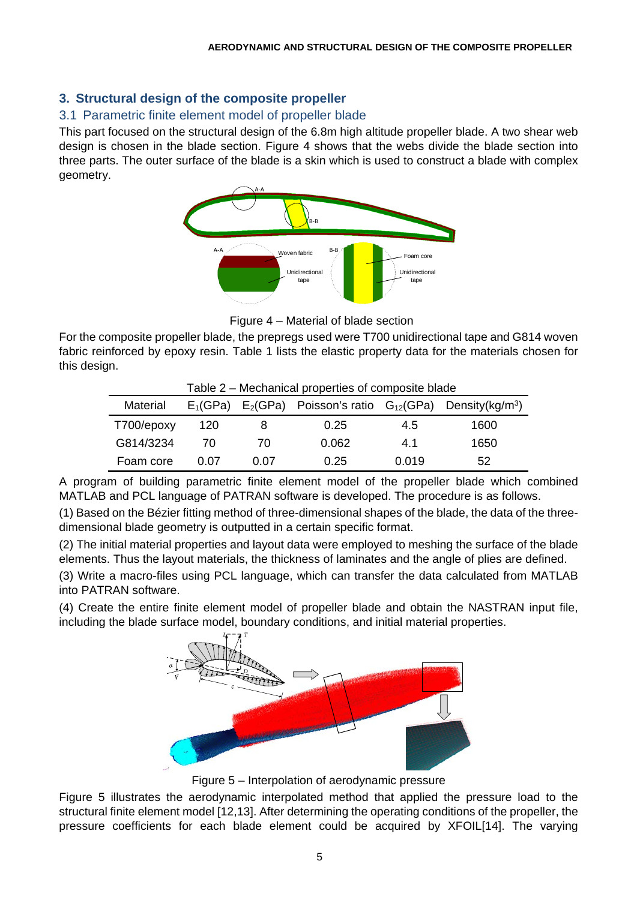# **3. Structural design of the composite propeller**

# 3.1 Parametric finite element model of propeller blade

This part focused on the structural design of the 6.8m high altitude propeller blade. A two shear web design is chosen in the blade section. Figure 4 shows that the webs divide the blade section into three parts. The outer surface of the blade is a skin which is used to construct a blade with complex geometry.



Figure 4 – Material of blade section

For the composite propeller blade, the prepregs used were T700 unidirectional tape and G814 woven fabric reinforced by epoxy resin. Table 1 lists the elastic property data for the materials chosen for this design.

| i able 2 – Mechanical properties of composite blade |      |      |                                                                                 |       |      |  |  |  |
|-----------------------------------------------------|------|------|---------------------------------------------------------------------------------|-------|------|--|--|--|
| Material                                            |      |      | $E_1(GPa)$ $E_2(GPa)$ Poisson's ratio $G_{12}(GPa)$ Density(kg/m <sup>3</sup> ) |       |      |  |  |  |
| T700/epoxy                                          | 120  |      | 0.25                                                                            | 4.5   | 1600 |  |  |  |
| G814/3234                                           | 70   | 70   | 0.062                                                                           | 4.1   | 1650 |  |  |  |
| Foam core                                           | 0.07 | 0.07 | 0.25                                                                            | 0.019 | 52   |  |  |  |

Table 2 – Mechanical properties of composite blade

A program of building parametric finite element model of the propeller blade which combined MATLAB and PCL language of PATRAN software is developed. The procedure is as follows.

(1) Based on the Bézier fitting method of three-dimensional shapes of the blade, the data of the threedimensional blade geometry is outputted in a certain specific format.

(2) The initial material properties and layout data were employed to meshing the surface of the blade elements. Thus the layout materials, the thickness of laminates and the angle of plies are defined.

(3) Write a macro-files using PCL language, which can transfer the data calculated from MATLAB into PATRAN software.

(4) Create the entire finite element model of propeller blade and obtain the NASTRAN input file, including the blade surface model, boundary conditions, and initial material properties.



Figure 5 – Interpolation of aerodynamic pressure

Figure 5 illustrates the aerodynamic interpolated method that applied the pressure load to the structural finite element model [12,13]. After determining the operating conditions of the propeller, the pressure coefficients for each blade element could be acquired by XFOIL[14]. The varying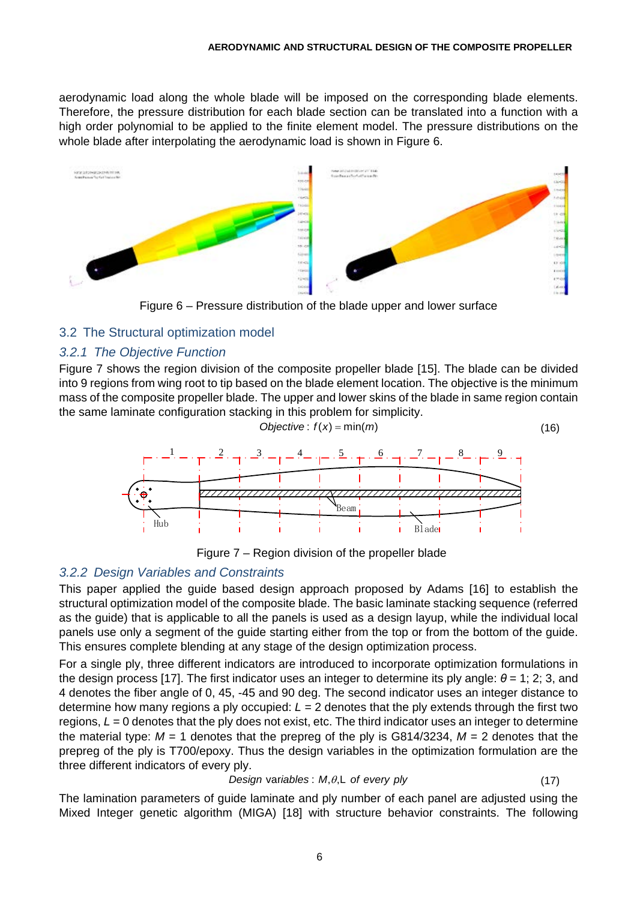aerodynamic load along the whole blade will be imposed on the corresponding blade elements. Therefore, the pressure distribution for each blade section can be translated into a function with a high order polynomial to be applied to the finite element model. The pressure distributions on the whole blade after interpolating the aerodynamic load is shown in Figure 6.



Figure 6 – Pressure distribution of the blade upper and lower surface

## 3.2 The Structural optimization model

## *3.2.1 The Objective Function*

Figure 7 shows the region division of the composite propeller blade [15]. The blade can be divided into 9 regions from wing root to tip based on the blade element location. The objective is the minimum mass of the composite propeller blade. The upper and lower skins of the blade in same region contain the same laminate configuration stacking in this problem for simplicity.

$$
Objective: f(x) = min(m)
$$
\n(16)





### *3.2.2 Design Variables and Constraints*

This paper applied the guide based design approach proposed by Adams [16] to establish the structural optimization model of the composite blade. The basic laminate stacking sequence (referred as the guide) that is applicable to all the panels is used as a design layup, while the individual local panels use only a segment of the guide starting either from the top or from the bottom of the guide. This ensures complete blending at any stage of the design optimization process.

For a single ply, three different indicators are introduced to incorporate optimization formulations in the design process [17]. The first indicator uses an integer to determine its ply angle: *θ* = 1; 2; 3, and 4 denotes the fiber angle of 0, 45, -45 and 90 deg. The second indicator uses an integer distance to determine how many regions a ply occupied: *L* = 2 denotes that the ply extends through the first two regions,  $L = 0$  denotes that the ply does not exist, etc. The third indicator uses an integer to determine the material type:  $M = 1$  denotes that the prepreg of the ply is G814/3234,  $M = 2$  denotes that the prepreg of the ply is T700/epoxy. Thus the design variables in the optimization formulation are the three different indicators of every ply.

### *Design variables : M,* $\theta$ *,L of every ply* var : (17)

The lamination parameters of guide laminate and ply number of each panel are adjusted using the Mixed Integer genetic algorithm (MIGA) [18] with structure behavior constraints. The following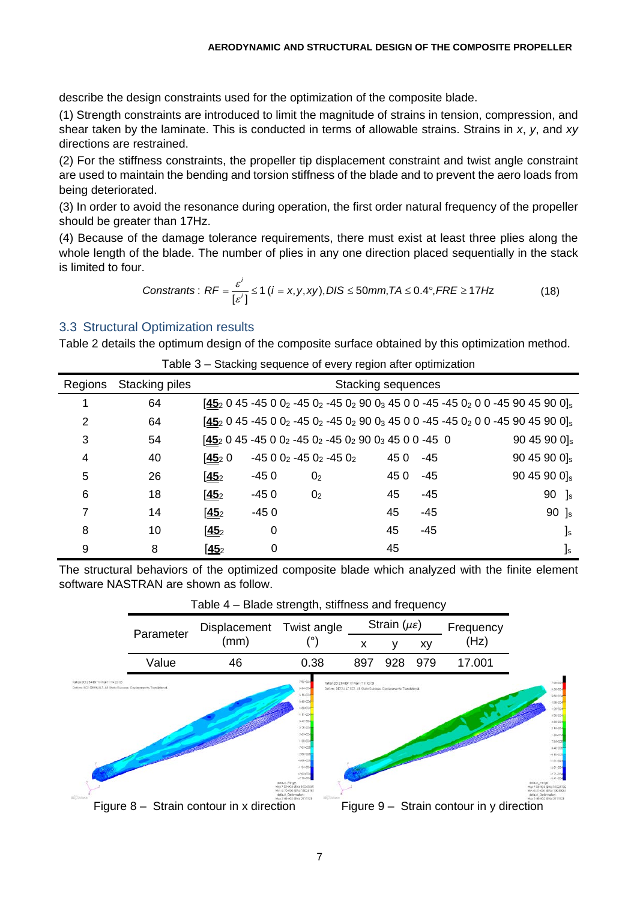describe the design constraints used for the optimization of the composite blade.

(1) Strength constraints are introduced to limit the magnitude of strains in tension, compression, and shear taken by the laminate. This is conducted in terms of allowable strains. Strains in *x*, *y*, and *xy*  directions are restrained.

(2) For the stiffness constraints, the propeller tip displacement constraint and twist angle constraint are used to maintain the bending and torsion stiffness of the blade and to prevent the aero loads from being deteriorated.

(3) In order to avoid the resonance during operation, the first order natural frequency of the propeller should be greater than 17Hz.

(4) Because of the damage tolerance requirements, there must exist at least three plies along the whole length of the blade. The number of plies in any one direction placed sequentially in the stack is limited to four.

$$
Constraints: RF = \frac{\varepsilon^i}{\left[\varepsilon^i\right]} \le 1 \ (i = x, y, xy), DIS \le 50 \text{mm}, TA \le 0.4^\circ, FRE \ge 17 Hz
$$
 (18)

## 3.3 Structural Optimization results

Table 2 details the optimum design of the composite surface obtained by this optimization method.

| Regions | Stacking piles | <b>Stacking sequences</b> |        |                                               |     |       |                          |
|---------|----------------|---------------------------|--------|-----------------------------------------------|-----|-------|--------------------------|
|         | 64             |                           |        |                                               |     |       |                          |
| 2       | 64             |                           |        |                                               |     |       |                          |
| 3       | 54             |                           |        | $1452045 - 45002 - 4502 - 450290034500 - 450$ |     |       | $9045900$ <sub>s</sub>   |
| 4       | 40             | [45, 0]                   |        | $-4500_2 - 450_2 - 450_2$                     | 450 | -45   | 90 45 90 0] <sub>s</sub> |
| 5       | 26             | 145 <sub>2</sub>          | $-450$ | 0 <sub>2</sub>                                | 450 | $-45$ | 90 45 90 0] <sub>s</sub> |
| 6       | 18             | 145 <sub>2</sub>          | $-450$ | 0 <sub>2</sub>                                | 45  | $-45$ | 90<br><b>]</b> s         |
| 7       | 14             | 45 <sub>2</sub>           | $-450$ |                                               | 45  | $-45$ | 90 $\mathrm{]s}$         |
| 8       | 10             | 145 <sub>2</sub>          | 0      |                                               | 45  | $-45$ | $\mathsf{I}_\mathsf{s}$  |
| 9       | 8              | $[45_2]$                  | 0      |                                               | 45  |       | ]s                       |

Table 3 – Stacking sequence of every region after optimization

The structural behaviors of the optimized composite blade which analyzed with the finite element software NASTRAN are shown as follow.

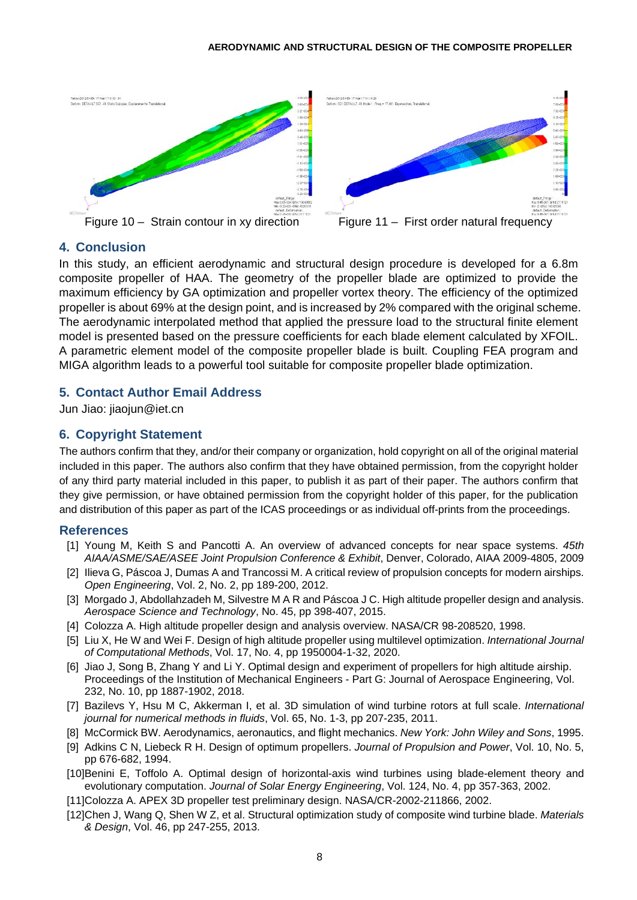

## **4. Conclusion**

In this study, an efficient aerodynamic and structural design procedure is developed for a 6.8m composite propeller of HAA. The geometry of the propeller blade are optimized to provide the maximum efficiency by GA optimization and propeller vortex theory. The efficiency of the optimized propeller is about 69% at the design point, and is increased by 2% compared with the original scheme. The aerodynamic interpolated method that applied the pressure load to the structural finite element model is presented based on the pressure coefficients for each blade element calculated by XFOIL. A parametric element model of the composite propeller blade is built. Coupling FEA program and MIGA algorithm leads to a powerful tool suitable for composite propeller blade optimization.

## **5. Contact Author Email Address**

Jun Jiao: [jiaojun@iet.cn](mailto:jiaojun@iet.cn)

## **6. Copyright Statement**

The authors confirm that they, and/or their company or organization, hold copyright on all of the original material included in this paper. The authors also confirm that they have obtained permission, from the copyright holder of any third party material included in this paper, to publish it as part of their paper. The authors confirm that they give permission, or have obtained permission from the copyright holder of this paper, for the publication and distribution of this paper as part of the ICAS proceedings or as individual off-prints from the proceedings.

### **References**

- [1] Young M, Keith S and Pancotti A. An overview of advanced concepts for near space systems. *45th AIAA/ASME/SAE/ASEE Joint Propulsion Conference & Exhibit*, Denver, Colorado, AIAA 2009-4805, 2009
- [2] Ilieva G, Páscoa J, Dumas A and Trancossi M. A critical review of propulsion concepts for modern airships. *Open Engineering*, Vol. 2, No. 2, pp 189-200, 2012.
- [3] Morgado J, Abdollahzadeh M, Silvestre M A R and Páscoa J C. High altitude propeller design and analysis. *Aerospace Science and Technology*, No. 45, pp 398-407, 2015.
- [4] Colozza A. High altitude propeller design and analysis overview. NASA/CR 98-208520, 1998.
- [5] Liu X, He W and Wei F. Design of high altitude propeller using multilevel optimization. *International Journal of Computational Methods*, Vol. 17, No. 4, pp 1950004-1-32, 2020.
- [6] Jiao J, Song B, Zhang Y and Li Y. Optimal design and experiment of propellers for high altitude airship. Proceedings of the Institution of Mechanical Engineers - Part G: Journal of Aerospace Engineering, Vol. 232, No. 10, pp 1887-1902, 2018.
- [7] Bazilevs Y, Hsu M C, Akkerman I, et al. 3D simulation of wind turbine rotors at full scale. *International journal for numerical methods in fluids*, Vol. 65, No. 1-3, pp 207-235, 2011.
- [8] McCormick BW. Aerodynamics, aeronautics, and flight mechanics. *New York: John Wiley and Sons*, 1995.
- [9] Adkins C N, Liebeck R H. Design of optimum propellers. *Journal of Propulsion and Power*, Vol. 10, No. 5, pp 676-682, 1994.
- [10]Benini E, Toffolo A. Optimal design of horizontal-axis wind turbines using blade-element theory and evolutionary computation. *Journal of Solar Energy Engineering*, Vol. 124, No. 4, pp 357-363, 2002.
- [11]Colozza A. APEX 3D propeller test preliminary design. NASA/CR-2002-211866, 2002.
- [12]Chen J, Wang Q, Shen W Z, et al. Structural optimization study of composite wind turbine blade. *Materials & Design*, Vol. 46, pp 247-255, 2013.